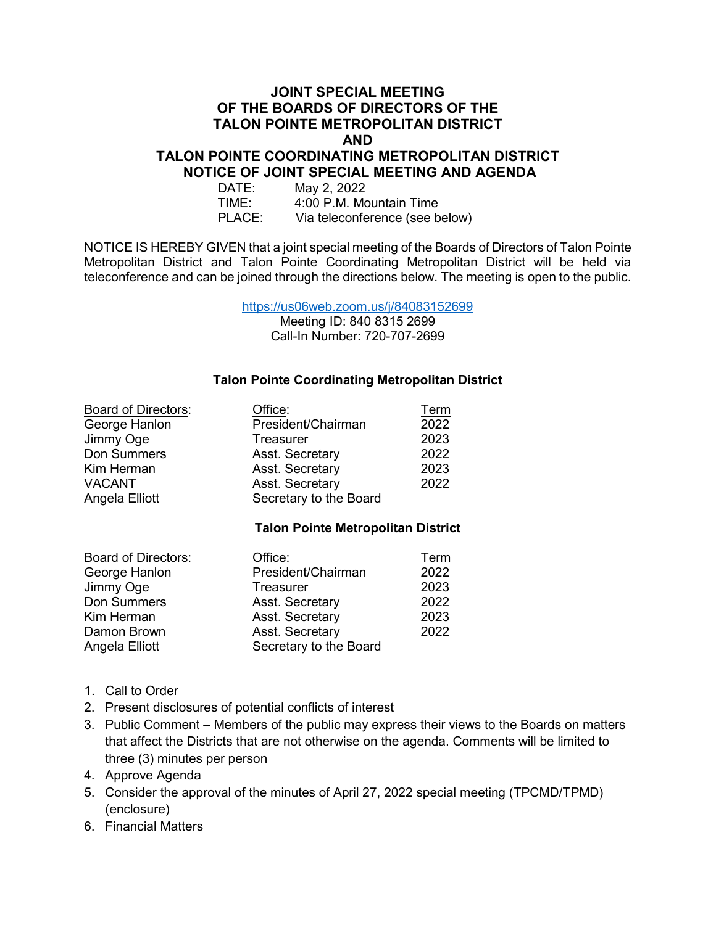## **JOINT SPECIAL MEETING OF THE BOARDS OF DIRECTORS OF THE TALON POINTE METROPOLITAN DISTRICT AND**

### **TALON POINTE COORDINATING METROPOLITAN DISTRICT NOTICE OF JOINT SPECIAL MEETING AND AGENDA**

| DATE:  | May 2, 2022                    |
|--------|--------------------------------|
| TIME:  | 4:00 P.M. Mountain Time        |
| PLACE: | Via teleconference (see below) |

NOTICE IS HEREBY GIVEN that a joint special meeting of the Boards of Directors of Talon Pointe Metropolitan District and Talon Pointe Coordinating Metropolitan District will be held via teleconference and can be joined through the directions below. The meeting is open to the public.

<https://us06web.zoom.us/j/84083152699>

Meeting ID: 840 8315 2699 Call-In Number: 720-707-2699

## **Talon Pointe Coordinating Metropolitan District**

| <b>Board of Directors:</b> | Office:                | Term |
|----------------------------|------------------------|------|
| George Hanlon              | President/Chairman     | 2022 |
| Jimmy Oge                  | Treasurer              | 2023 |
| Don Summers                | Asst. Secretary        | 2022 |
| Kim Herman                 | Asst. Secretary        | 2023 |
| <b>VACANT</b>              | Asst. Secretary        | 2022 |
| Angela Elliott             | Secretary to the Board |      |

### **Talon Pointe Metropolitan District**

| <b>Board of Directors:</b> | Office:                | Term |
|----------------------------|------------------------|------|
| George Hanlon              | President/Chairman     | 2022 |
| Jimmy Oge                  | <b>Treasurer</b>       | 2023 |
| Don Summers                | Asst. Secretary        | 2022 |
| Kim Herman                 | Asst. Secretary        | 2023 |
| Damon Brown                | Asst. Secretary        | 2022 |
| Angela Elliott             | Secretary to the Board |      |

- 1. Call to Order
- 2. Present disclosures of potential conflicts of interest
- 3. Public Comment Members of the public may express their views to the Boards on matters that affect the Districts that are not otherwise on the agenda. Comments will be limited to three (3) minutes per person
- 4. Approve Agenda
- 5. Consider the approval of the minutes of April 27, 2022 special meeting (TPCMD/TPMD) (enclosure)
- 6. Financial Matters